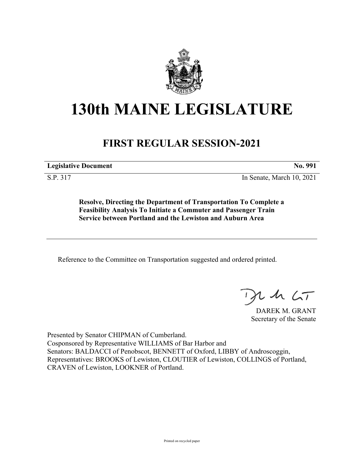

# **130th MAINE LEGISLATURE**

## **FIRST REGULAR SESSION-2021**

**Legislative Document No. 991**

S.P. 317 In Senate, March 10, 2021

**Resolve, Directing the Department of Transportation To Complete a Feasibility Analysis To Initiate a Commuter and Passenger Train Service between Portland and the Lewiston and Auburn Area**

Reference to the Committee on Transportation suggested and ordered printed.

 $125$ 

DAREK M. GRANT Secretary of the Senate

Presented by Senator CHIPMAN of Cumberland. Cosponsored by Representative WILLIAMS of Bar Harbor and Senators: BALDACCI of Penobscot, BENNETT of Oxford, LIBBY of Androscoggin, Representatives: BROOKS of Lewiston, CLOUTIER of Lewiston, COLLINGS of Portland, CRAVEN of Lewiston, LOOKNER of Portland.